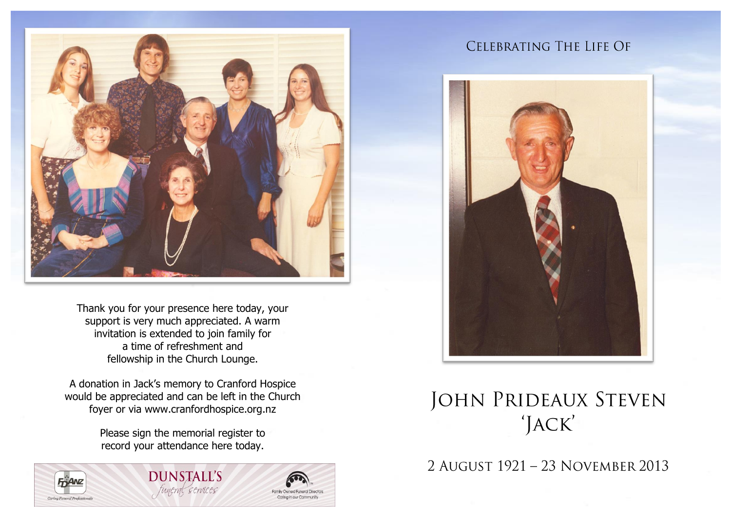

Thank you for your presence here today, your support is very much appreciated. A warm invitation is extended to join family for a time of refreshment and fellowship in the Church Lounge.

A donation in Jack's memory to Cranford Hospice would be appreciated and can be left in the Church foyer or via www.cranfordhospice.org.nz

> Please sign the memorial register to record your attendance here today.

> > **DUNSTALL'S** funeral services







# **JOHN PRIDEAUX STEVEN** 'JACK'

2 AUGUST 1921 - 23 NOVEMBER 2013

**Family Owned Funeral Director** Carina in our Community